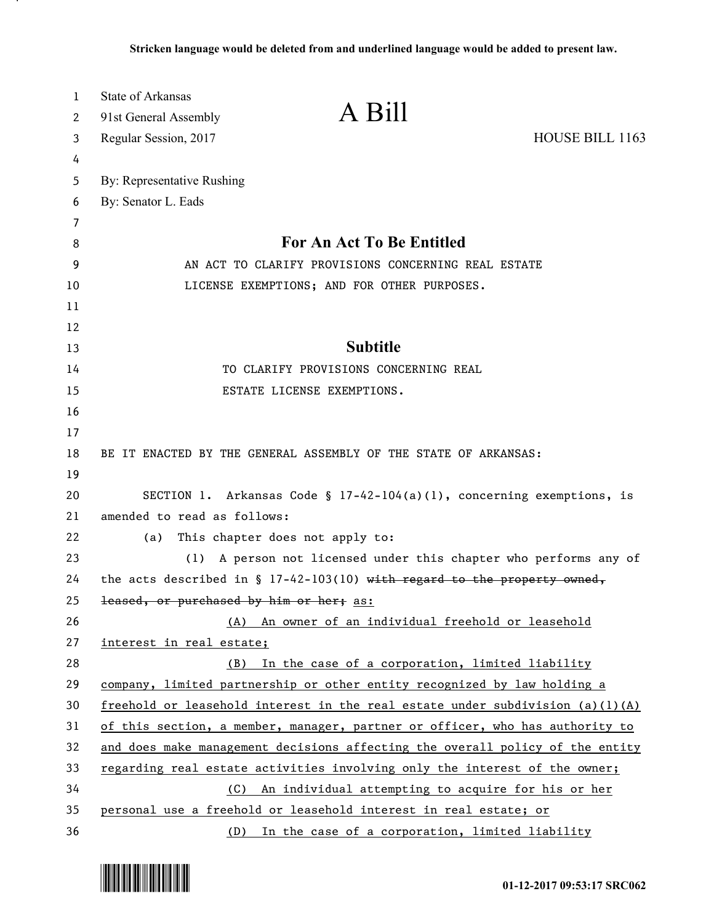| A Bill<br>91st General Assembly<br>2<br>HOUSE BILL 1163<br>Regular Session, 2017<br>3<br>4<br>By: Representative Rushing<br>5<br>By: Senator L. Eads<br>6<br>7<br>For An Act To Be Entitled<br>8<br>9<br>AN ACT TO CLARIFY PROVISIONS CONCERNING REAL ESTATE<br>10<br>LICENSE EXEMPTIONS; AND FOR OTHER PURPOSES.<br>11<br>12<br><b>Subtitle</b><br>13<br>TO CLARIFY PROVISIONS CONCERNING REAL<br>14<br>15<br>ESTATE LICENSE EXEMPTIONS. |  |
|-------------------------------------------------------------------------------------------------------------------------------------------------------------------------------------------------------------------------------------------------------------------------------------------------------------------------------------------------------------------------------------------------------------------------------------------|--|
|                                                                                                                                                                                                                                                                                                                                                                                                                                           |  |
|                                                                                                                                                                                                                                                                                                                                                                                                                                           |  |
|                                                                                                                                                                                                                                                                                                                                                                                                                                           |  |
|                                                                                                                                                                                                                                                                                                                                                                                                                                           |  |
|                                                                                                                                                                                                                                                                                                                                                                                                                                           |  |
|                                                                                                                                                                                                                                                                                                                                                                                                                                           |  |
|                                                                                                                                                                                                                                                                                                                                                                                                                                           |  |
|                                                                                                                                                                                                                                                                                                                                                                                                                                           |  |
|                                                                                                                                                                                                                                                                                                                                                                                                                                           |  |
|                                                                                                                                                                                                                                                                                                                                                                                                                                           |  |
|                                                                                                                                                                                                                                                                                                                                                                                                                                           |  |
|                                                                                                                                                                                                                                                                                                                                                                                                                                           |  |
|                                                                                                                                                                                                                                                                                                                                                                                                                                           |  |
| 16                                                                                                                                                                                                                                                                                                                                                                                                                                        |  |
| 17                                                                                                                                                                                                                                                                                                                                                                                                                                        |  |
| BE IT ENACTED BY THE GENERAL ASSEMBLY OF THE STATE OF ARKANSAS:<br>18                                                                                                                                                                                                                                                                                                                                                                     |  |
| 19                                                                                                                                                                                                                                                                                                                                                                                                                                        |  |
| SECTION 1. Arkansas Code § $17-42-104(a)(1)$ , concerning exemptions, is<br>20                                                                                                                                                                                                                                                                                                                                                            |  |
| 21<br>amended to read as follows:                                                                                                                                                                                                                                                                                                                                                                                                         |  |
| 22<br>This chapter does not apply to:<br>(a)                                                                                                                                                                                                                                                                                                                                                                                              |  |
| A person not licensed under this chapter who performs any of<br>23<br>(1)                                                                                                                                                                                                                                                                                                                                                                 |  |
| the acts described in $\S$ 17-42-103(10) with regard to the property owned,<br>24                                                                                                                                                                                                                                                                                                                                                         |  |
| 25<br>leased, or purchased by him or her; as:                                                                                                                                                                                                                                                                                                                                                                                             |  |
| 26<br>An owner of an individual freehold or leasehold<br>(A)                                                                                                                                                                                                                                                                                                                                                                              |  |
| 27<br>interest in real estate;                                                                                                                                                                                                                                                                                                                                                                                                            |  |
| 28<br>In the case of a corporation, limited liability<br>(B)                                                                                                                                                                                                                                                                                                                                                                              |  |
| 29<br>company, limited partnership or other entity recognized by law holding a                                                                                                                                                                                                                                                                                                                                                            |  |
| 30<br>freehold or leasehold interest in the real estate under subdivision $(a)(1)(A)$                                                                                                                                                                                                                                                                                                                                                     |  |
| 31<br>of this section, a member, manager, partner or officer, who has authority to                                                                                                                                                                                                                                                                                                                                                        |  |
| 32<br>and does make management decisions affecting the overall policy of the entity                                                                                                                                                                                                                                                                                                                                                       |  |
| 33<br>regarding real estate activities involving only the interest of the owner;                                                                                                                                                                                                                                                                                                                                                          |  |
| 34<br>An individual attempting to acquire for his or her<br>(C)<br>35                                                                                                                                                                                                                                                                                                                                                                     |  |
| personal use a freehold or leasehold interest in real estate; or<br>36<br>In the case of a corporation, limited liability<br>(D)                                                                                                                                                                                                                                                                                                          |  |



.